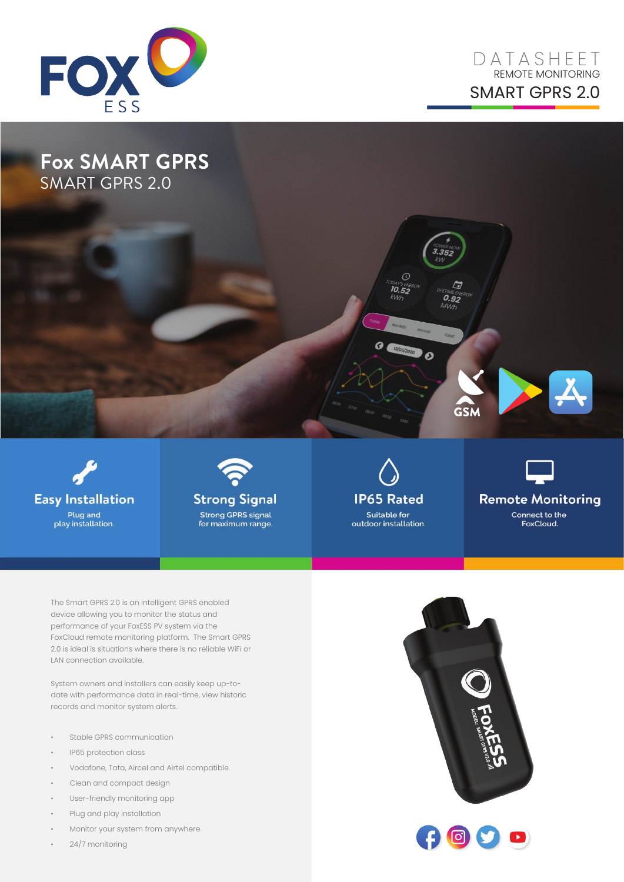

## D A T ASHE E T REMOTE MONITORING SMART GPRS 2.0

## **Fox SMART GPRS** SMART GPRS 2.0





**IP65 Rated Suitable for** outdoor installation.



**Remote Monitoring** Connect to the FoxCloud.

The Smart GPRS 2.0 is an intelligent GPRS enabled device allowing you to monitor the status and performance of your FoxESS PV system via the FoxCloud remote monitoring platform. The Smart GPRS 2.0 is ideal is situations where there is no reliable WiFi or LAN connection available.

System owners and installers can easily keep up-todate with performance data in real-time, view historic records and monitor system alerts.

- Stable GPRS communication
- IP65 protection class
- Vodafone, Tata, Aircel and Airtel compatible
- Clean and compact design
- User-friendly monitoring app
- Plug and play installation
- Monitor your system from anywhere
- 24/7 monitoring



GSM

 $32E$ 

r.

 $\overset{c\wedge\mathcal{M}\in E\mathcal{N}}{\mathcal{O}}$ .92

WW

 $\boldsymbol{\theta}$ 

 $\circ$ 

**10.52** 

kw